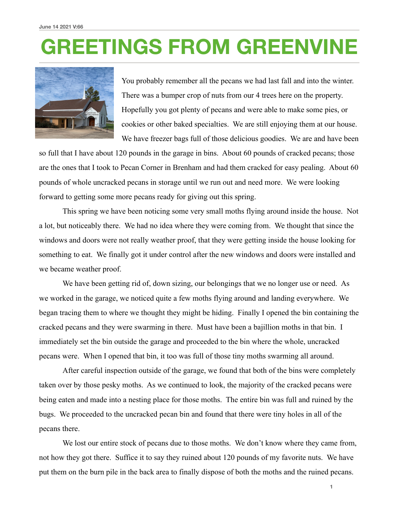## **GREETINGS FROM GREENVINE**



You probably remember all the pecans we had last fall and into the winter. There was a bumper crop of nuts from our 4 trees here on the property. Hopefully you got plenty of pecans and were able to make some pies, or cookies or other baked specialties. We are still enjoying them at our house. We have freezer bags full of those delicious goodies. We are and have been

so full that I have about 120 pounds in the garage in bins. About 60 pounds of cracked pecans; those are the ones that I took to Pecan Corner in Brenham and had them cracked for easy pealing. About 60 pounds of whole uncracked pecans in storage until we run out and need more. We were looking forward to getting some more pecans ready for giving out this spring.

 This spring we have been noticing some very small moths flying around inside the house. Not a lot, but noticeably there. We had no idea where they were coming from. We thought that since the windows and doors were not really weather proof, that they were getting inside the house looking for something to eat. We finally got it under control after the new windows and doors were installed and we became weather proof.

We have been getting rid of, down sizing, our belongings that we no longer use or need. As we worked in the garage, we noticed quite a few moths flying around and landing everywhere. We began tracing them to where we thought they might be hiding. Finally I opened the bin containing the cracked pecans and they were swarming in there. Must have been a bajillion moths in that bin. I immediately set the bin outside the garage and proceeded to the bin where the whole, uncracked pecans were. When I opened that bin, it too was full of those tiny moths swarming all around.

 After careful inspection outside of the garage, we found that both of the bins were completely taken over by those pesky moths. As we continued to look, the majority of the cracked pecans were being eaten and made into a nesting place for those moths. The entire bin was full and ruined by the bugs. We proceeded to the uncracked pecan bin and found that there were tiny holes in all of the pecans there.

We lost our entire stock of pecans due to those moths. We don't know where they came from, not how they got there. Suffice it to say they ruined about 120 pounds of my favorite nuts. We have put them on the burn pile in the back area to finally dispose of both the moths and the ruined pecans.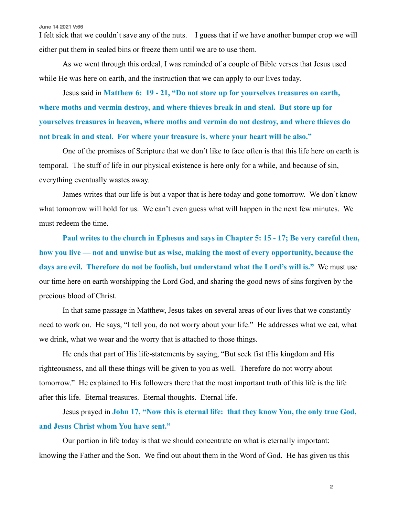**June 14 2021 V:66**

I felt sick that we couldn't save any of the nuts. I guess that if we have another bumper crop we will either put them in sealed bins or freeze them until we are to use them.

 As we went through this ordeal, I was reminded of a couple of Bible verses that Jesus used while He was here on earth, and the instruction that we can apply to our lives today.

 Jesus said in **Matthew 6: 19 - 21, "Do not store up for yourselves treasures on earth, where moths and vermin destroy, and where thieves break in and steal. But store up for yourselves treasures in heaven, where moths and vermin do not destroy, and where thieves do not break in and steal. For where your treasure is, where your heart will be also."**

 One of the promises of Scripture that we don't like to face often is that this life here on earth is temporal. The stuff of life in our physical existence is here only for a while, and because of sin, everything eventually wastes away.

 James writes that our life is but a vapor that is here today and gone tomorrow. We don't know what tomorrow will hold for us. We can't even guess what will happen in the next few minutes. We must redeem the time.

**Paul writes to the church in Ephesus and says in Chapter 5: 15 - 17; Be very careful then, how you live — not and unwise but as wise, making the most of every opportunity, because the days are evil. Therefore do not be foolish, but understand what the Lord's will is."** We must use our time here on earth worshipping the Lord God, and sharing the good news of sins forgiven by the precious blood of Christ.

 In that same passage in Matthew, Jesus takes on several areas of our lives that we constantly need to work on. He says, "I tell you, do not worry about your life." He addresses what we eat, what we drink, what we wear and the worry that is attached to those things.

 He ends that part of His life-statements by saying, "But seek fist tHis kingdom and His righteousness, and all these things will be given to you as well. Therefore do not worry about tomorrow." He explained to His followers there that the most important truth of this life is the life after this life. Eternal treasures. Eternal thoughts. Eternal life.

 Jesus prayed in **John 17, "Now this is eternal life: that they know You, the only true God, and Jesus Christ whom You have sent."** 

 Our portion in life today is that we should concentrate on what is eternally important: knowing the Father and the Son. We find out about them in the Word of God. He has given us this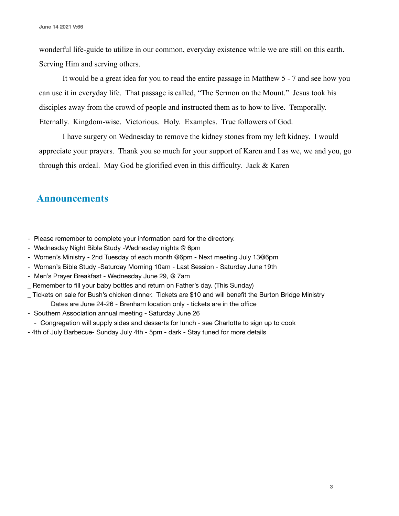wonderful life-guide to utilize in our common, everyday existence while we are still on this earth. Serving Him and serving others.

 It would be a great idea for you to read the entire passage in Matthew 5 - 7 and see how you can use it in everyday life. That passage is called, "The Sermon on the Mount." Jesus took his disciples away from the crowd of people and instructed them as to how to live. Temporally. Eternally. Kingdom-wise. Victorious. Holy. Examples. True followers of God.

 I have surgery on Wednesday to remove the kidney stones from my left kidney. I would appreciate your prayers. Thank you so much for your support of Karen and I as we, we and you, go through this ordeal. May God be glorified even in this difficulty. Jack & Karen

## **Announcements**

- Please remember to complete your information card for the directory.
- Wednesday Night Bible Study -Wednesday nights @ 6pm
- Women's Ministry 2nd Tuesday of each month @6pm Next meeting July 13@6pm
- Woman's Bible Study -Saturday Morning 10am Last Session Saturday June 19th
- Men's Prayer Breakfast Wednesday June 29, @ 7am
- Remember to fill your baby bottles and return on Father's day. (This Sunday)
- \_ Tickets on sale for Bush's chicken dinner. Tickets are \$10 and will benefit the Burton Bridge Ministry Dates are June 24-26 - Brenham location only - tickets are in the office
- Southern Association annual meeting Saturday June 26
- Congregation will supply sides and desserts for lunch see Charlotte to sign up to cook
- 4th of July Barbecue- Sunday July 4th 5pm dark Stay tuned for more details